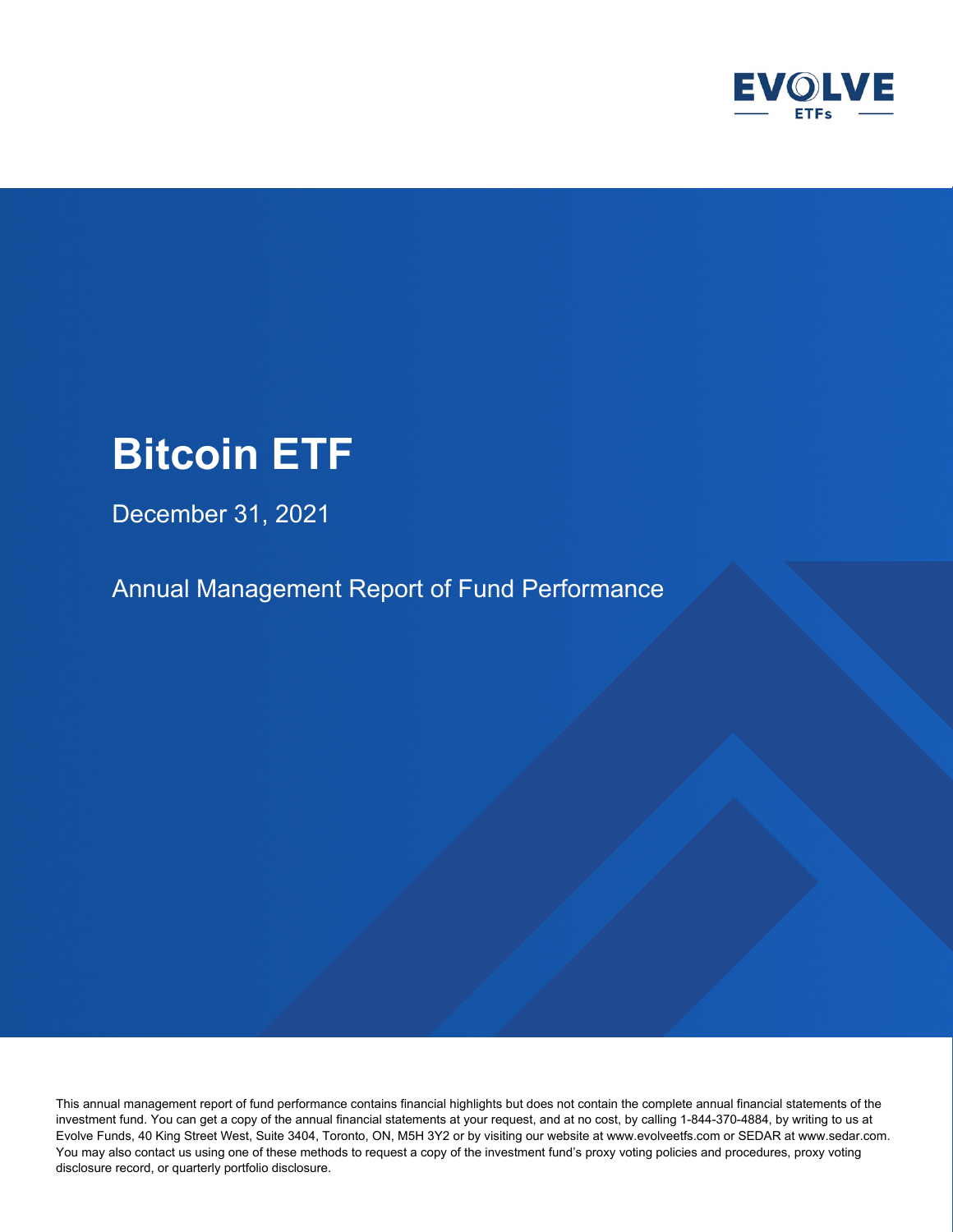

December 31, 2021

Annual Management Report of Fund Performance

This annual management report of fund performance contains financial highlights but does not contain the complete annual financial statements of the investment fund. You can get a copy of the annual financial statements at your request, and at no cost, by calling 1-844-370-4884, by writing to us at Evolve Funds, 40 King Street West, Suite 3404, Toronto, ON, M5H 3Y2 or by visiting our website at www.evolveetfs.com or SEDAR at www.sedar.com. You may also contact us using one of these methods to request a copy of the investment fund's proxy voting policies and procedures, proxy voting disclosure record, or quarterly portfolio disclosure.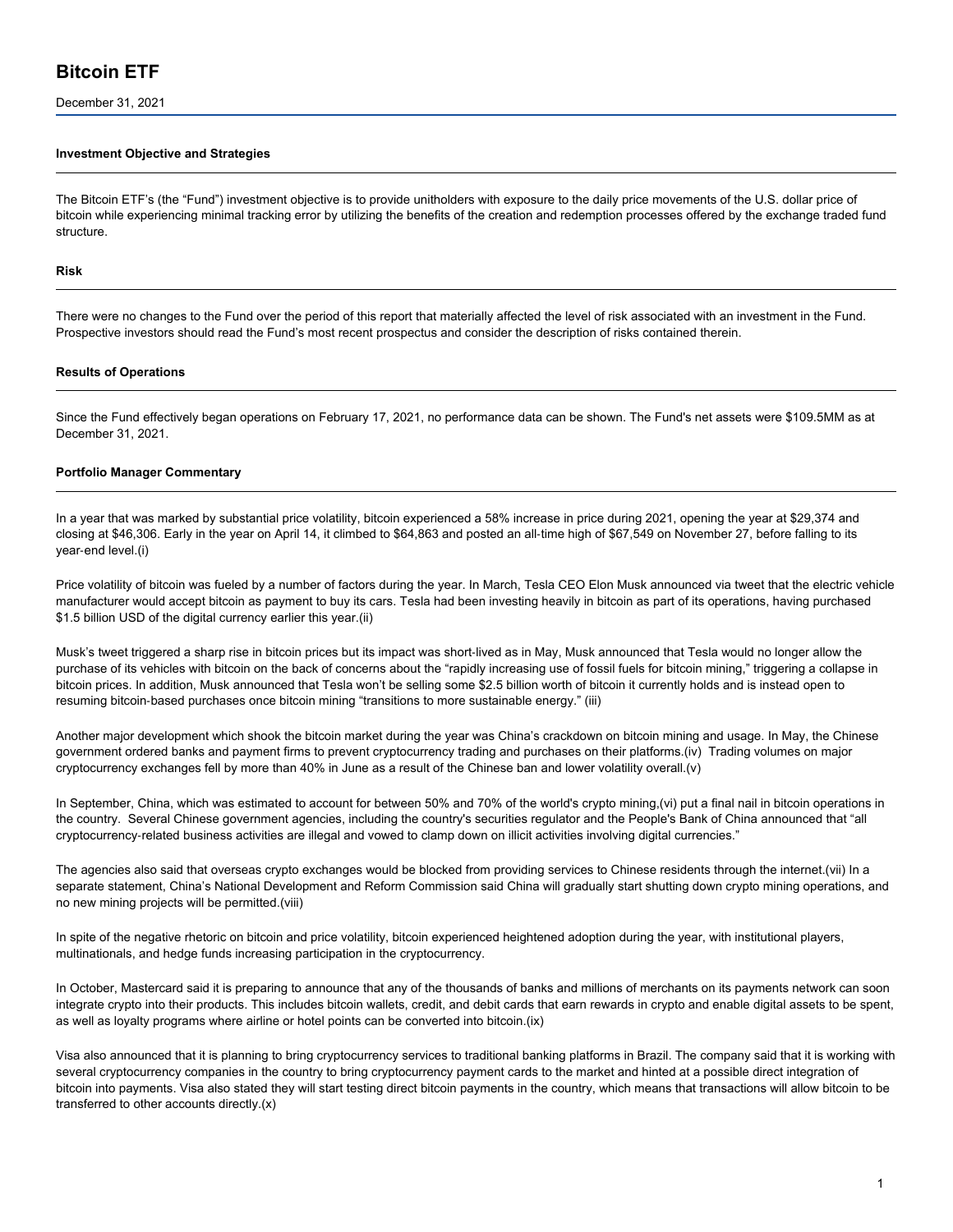December 31, 2021

#### **Investment Objective and Strategies**

The Bitcoin ETF's (the "Fund") investment objective is to provide unitholders with exposure to the daily price movements of the U.S. dollar price of bitcoin while experiencing minimal tracking error by utilizing the benefits of the creation and redemption processes offered by the exchange traded fund structure.

#### **Risk**

There were no changes to the Fund over the period of this report that materially affected the level of risk associated with an investment in the Fund. Prospective investors should read the Fund's most recent prospectus and consider the description of risks contained therein.

#### **Results of Operations**

Since the Fund effectively began operations on February 17, 2021, no performance data can be shown. The Fund's net assets were \$109.5MM as at December 31, 2021.

#### **Portfolio Manager Commentary**

In a year that was marked by substantial price volatility, bitcoin experienced a 58% increase in price during 2021, opening the year at \$29,374 and closing at \$46,306. Early in the year on April 14, it climbed to \$64,863 and posted an all‑time high of \$67,549 on November 27, before falling to its year‑end level.(i)

Price volatility of bitcoin was fueled by a number of factors during the year. In March, Tesla CEO Elon Musk announced via tweet that the electric vehicle manufacturer would accept bitcoin as payment to buy its cars. Tesla had been investing heavily in bitcoin as part of its operations, having purchased \$1.5 billion USD of the digital currency earlier this year.(ii)

Musk's tweet triggered a sharp rise in bitcoin prices but its impact was short-lived as in May, Musk announced that Tesla would no longer allow the purchase of its vehicles with bitcoin on the back of concerns about the "rapidly increasing use of fossil fuels for bitcoin mining," triggering a collapse in bitcoin prices. In addition, Musk announced that Tesla won't be selling some \$2.5 billion worth of bitcoin it currently holds and is instead open to resuming bitcoin‑based purchases once bitcoin mining "transitions to more sustainable energy." (iii)

Another major development which shook the bitcoin market during the year was China's crackdown on bitcoin mining and usage. In May, the Chinese government ordered banks and payment firms to prevent cryptocurrency trading and purchases on their platforms.(iv) Trading volumes on major cryptocurrency exchanges fell by more than 40% in June as a result of the Chinese ban and lower volatility overall.(v)

In September, China, which was estimated to account for between 50% and 70% of the world's crypto mining,(vi) put a final nail in bitcoin operations in the country. Several Chinese government agencies, including the country's securities regulator and the People's Bank of China announced that "all cryptocurrency-related business activities are illegal and vowed to clamp down on illicit activities involving digital currencies."

The agencies also said that overseas crypto exchanges would be blocked from providing services to Chinese residents through the internet.(vii) In a separate statement, China's National Development and Reform Commission said China will gradually start shutting down crypto mining operations, and no new mining projects will be permitted.(viii)

In spite of the negative rhetoric on bitcoin and price volatility, bitcoin experienced heightened adoption during the year, with institutional players, multinationals, and hedge funds increasing participation in the cryptocurrency.

In October, Mastercard said it is preparing to announce that any of the thousands of banks and millions of merchants on its payments network can soon integrate crypto into their products. This includes bitcoin wallets, credit, and debit cards that earn rewards in crypto and enable digital assets to be spent, as well as loyalty programs where airline or hotel points can be converted into bitcoin.(ix)

Visa also announced that it is planning to bring cryptocurrency services to traditional banking platforms in Brazil. The company said that it is working with several cryptocurrency companies in the country to bring cryptocurrency payment cards to the market and hinted at a possible direct integration of bitcoin into payments. Visa also stated they will start testing direct bitcoin payments in the country, which means that transactions will allow bitcoin to be transferred to other accounts directly.(x)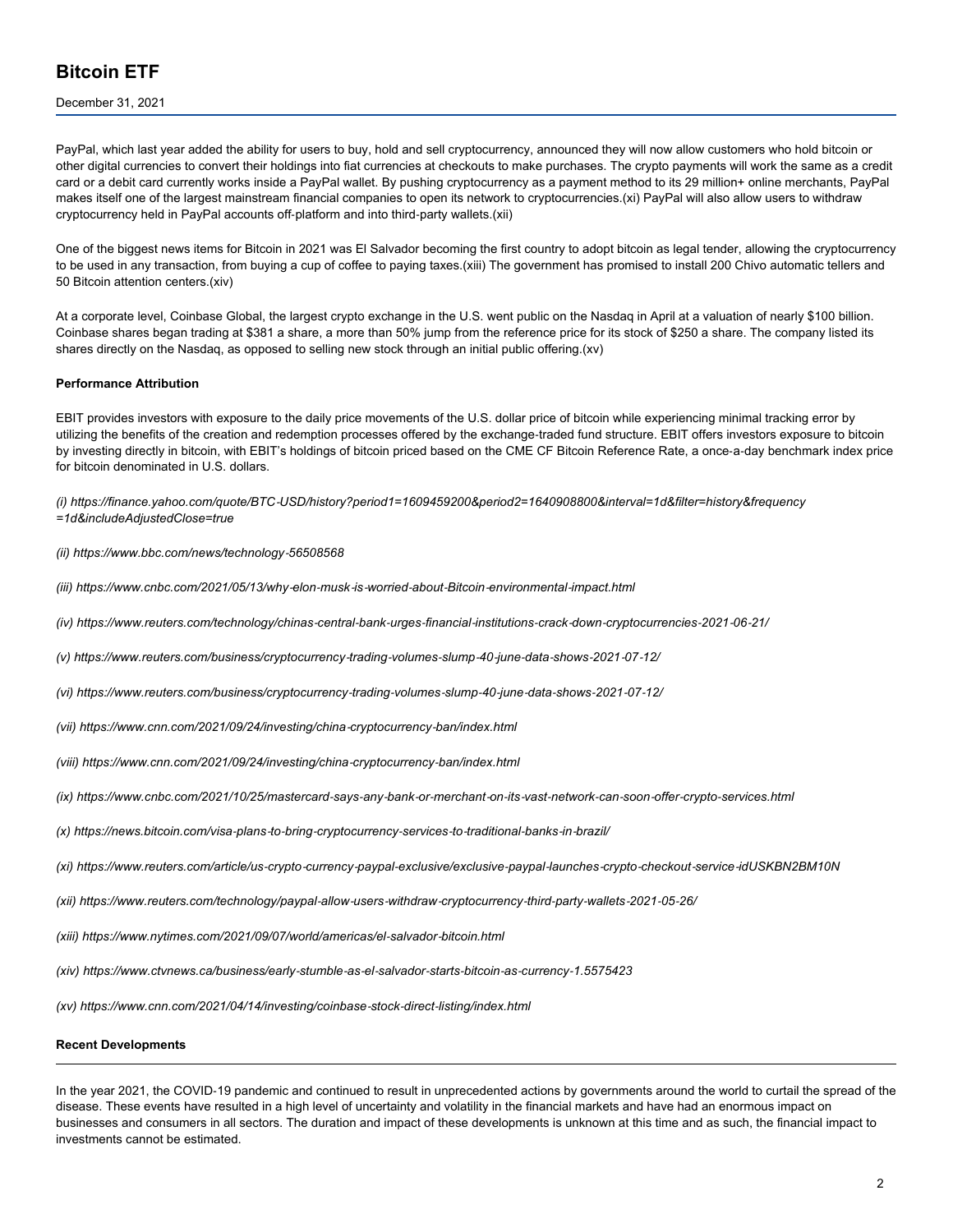#### December 31, 2021

PayPal, which last year added the ability for users to buy, hold and sell cryptocurrency, announced they will now allow customers who hold bitcoin or other digital currencies to convert their holdings into fiat currencies at checkouts to make purchases. The crypto payments will work the same as a credit card or a debit card currently works inside a PayPal wallet. By pushing cryptocurrency as a payment method to its 29 million+ online merchants, PayPal makes itself one of the largest mainstream financial companies to open its network to cryptocurrencies.(xi) PayPal will also allow users to withdraw cryptocurrency held in PayPal accounts off-platform and into third-party wallets.(xii)

One of the biggest news items for Bitcoin in 2021 was El Salvador becoming the first country to adopt bitcoin as legal tender, allowing the cryptocurrency to be used in any transaction, from buying a cup of coffee to paying taxes.(xiii) The government has promised to install 200 Chivo automatic tellers and 50 Bitcoin attention centers.(xiv)

At a corporate level, Coinbase Global, the largest crypto exchange in the U.S. went public on the Nasdaq in April at a valuation of nearly \$100 billion. Coinbase shares began trading at \$381 a share, a more than 50% jump from the reference price for its stock of \$250 a share. The company listed its shares directly on the Nasdaq, as opposed to selling new stock through an initial public offering.(xv)

#### **Performance Attribution**

EBIT provides investors with exposure to the daily price movements of the U.S. dollar price of bitcoin while experiencing minimal tracking error by utilizing the benefits of the creation and redemption processes offered by the exchange‑traded fund structure. EBIT offers investors exposure to bitcoin by investing directly in bitcoin, with EBIT's holdings of bitcoin priced based on the CME CF Bitcoin Reference Rate, a once-a-day benchmark index price for bitcoin denominated in U.S. dollars.

*(i) https://finance.yahoo.com/quote/BTC‑USD/history?period1=1609459200&period2=1640908800&interval=1d&filter=history&frequency =1d&includeAdjustedClose=true*

#### *(ii) https://www.bbc.com/news/technology‑56508568*

- *(iii) https://www.cnbc.com/2021/05/13/why‑elon‑musk‑is‑worried‑about‑Bitcoin‑environmental‑impact.html*
- (iv) https://www.reuters.com/technology/chinas-central-bank-urges-financial-institutions-crack-down-cryptocurrencies-2021-06-21/
- (v) https://www.reuters.com/business/cryptocurrency-trading-volumes-slump-40-june-data-shows-2021-07-12/
- (vi) https://www.reuters.com/business/cryptocurrency-trading-volumes-slump-40-june-data-shows-2021-07-12/
- *(vii) https://www.cnn.com/2021/09/24/investing/china‑cryptocurrency‑ban/index.html*
- *(viii) https://www.cnn.com/2021/09/24/investing/china‑cryptocurrency‑ban/index.html*
- (ix) https://www.cnbc.com/2021/10/25/mastercard-says-any-bank-or-merchant-on-its-vast-network-can-soon-offer-crypto-services.html
- (x) https://news.bitcoin.com/visa-plans-to-bring-cryptocurrency-services-to-traditional-banks-in-brazil/
- (xi) https://www.reuters.com/article/us-crypto-currency-paypal-exclusive/exclusive-paypal-launches-crypto-checkout-service-idUSKBN2BM10N
- (xii) https://www.reuters.com/technology/paypal-allow-users-withdraw-cryptocurrency-third-party-wallets-2021-05-26/
- *(xiii) https://www.nytimes.com/2021/09/07/world/americas/el‑salvador‑bitcoin.html*
- (xiv) https://www.ctvnews.ca/business/early-stumble-as-el-salvador-starts-bitcoin-as-currency-1.5575423

*(xv) https://www.cnn.com/2021/04/14/investing/coinbase‑stock‑direct‑listing/index.html*

#### **Recent Developments**

In the year 2021, the COVID-19 pandemic and continued to result in unprecedented actions by governments around the world to curtail the spread of the disease. These events have resulted in a high level of uncertainty and volatility in the financial markets and have had an enormous impact on businesses and consumers in all sectors. The duration and impact of these developments is unknown at this time and as such, the financial impact to investments cannot be estimated.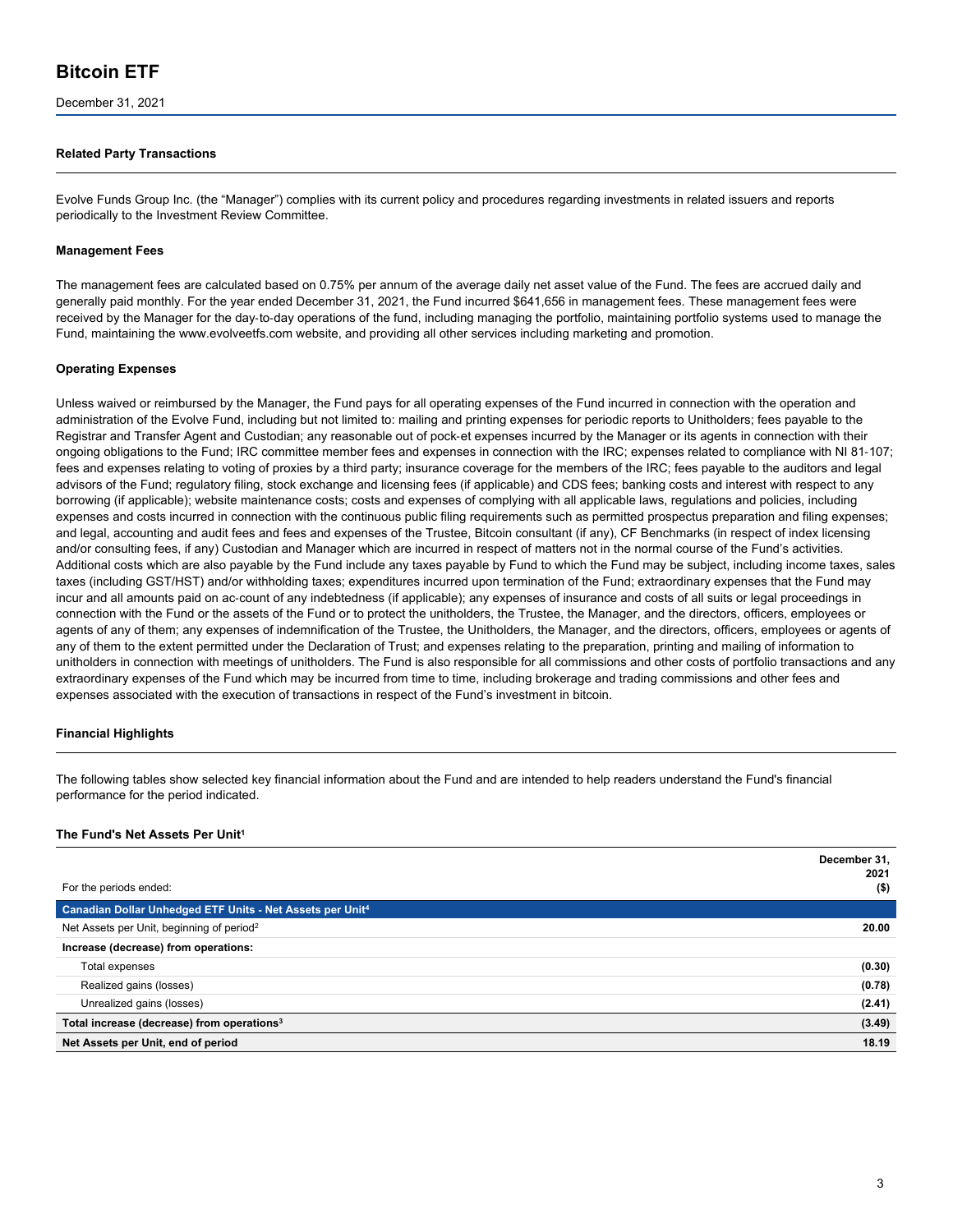December 31, 2021

#### **Related Party Transactions**

Evolve Funds Group Inc. (the "Manager") complies with its current policy and procedures regarding investments in related issuers and reports periodically to the Investment Review Committee.

#### **Management Fees**

The management fees are calculated based on 0.75% per annum of the average daily net asset value of the Fund. The fees are accrued daily and generally paid monthly. For the year ended December 31, 2021, the Fund incurred \$641,656 in management fees. These management fees were received by the Manager for the day-to-day operations of the fund, including managing the portfolio, maintaining portfolio systems used to manage the Fund, maintaining the www.evolveetfs.com website, and providing all other services including marketing and promotion.

#### **Operating Expenses**

Unless waived or reimbursed by the Manager, the Fund pays for all operating expenses of the Fund incurred in connection with the operation and administration of the Evolve Fund, including but not limited to: mailing and printing expenses for periodic reports to Unitholders; fees payable to the Registrar and Transfer Agent and Custodian; any reasonable out of pock‑et expenses incurred by the Manager or its agents in connection with their ongoing obligations to the Fund; IRC committee member fees and expenses in connection with the IRC; expenses related to compliance with NI 81-107; fees and expenses relating to voting of proxies by a third party; insurance coverage for the members of the IRC; fees payable to the auditors and legal advisors of the Fund; regulatory filing, stock exchange and licensing fees (if applicable) and CDS fees; banking costs and interest with respect to any borrowing (if applicable); website maintenance costs; costs and expenses of complying with all applicable laws, regulations and policies, including expenses and costs incurred in connection with the continuous public filing requirements such as permitted prospectus preparation and filing expenses; and legal, accounting and audit fees and fees and expenses of the Trustee, Bitcoin consultant (if any), CF Benchmarks (in respect of index licensing and/or consulting fees, if any) Custodian and Manager which are incurred in respect of matters not in the normal course of the Fund's activities. Additional costs which are also payable by the Fund include any taxes payable by Fund to which the Fund may be subject, including income taxes, sales taxes (including GST/HST) and/or withholding taxes; expenditures incurred upon termination of the Fund; extraordinary expenses that the Fund may incur and all amounts paid on ac-count of any indebtedness (if applicable); any expenses of insurance and costs of all suits or legal proceedings in connection with the Fund or the assets of the Fund or to protect the unitholders, the Trustee, the Manager, and the directors, officers, employees or agents of any of them; any expenses of indemnification of the Trustee, the Unitholders, the Manager, and the directors, officers, employees or agents of any of them to the extent permitted under the Declaration of Trust; and expenses relating to the preparation, printing and mailing of information to unitholders in connection with meetings of unitholders. The Fund is also responsible for all commissions and other costs of portfolio transactions and any extraordinary expenses of the Fund which may be incurred from time to time, including brokerage and trading commissions and other fees and expenses associated with the execution of transactions in respect of the Fund's investment in bitcoin.

#### **Financial Highlights**

The following tables show selected key financial information about the Fund and are intended to help readers understand the Fund's financial performance for the period indicated.

#### **The Fund's Net Assets Per Unit<sup>1</sup>**

|                                                                       | December 31,<br>2021 |
|-----------------------------------------------------------------------|----------------------|
| For the periods ended:                                                | $($ \$)              |
| Canadian Dollar Unhedged ETF Units - Net Assets per Unit <sup>4</sup> |                      |
| Net Assets per Unit, beginning of period <sup>2</sup>                 | 20.00                |
| Increase (decrease) from operations:                                  |                      |
| Total expenses                                                        | (0.30)               |
| Realized gains (losses)                                               | (0.78)               |
| Unrealized gains (losses)                                             | (2.41)               |
| Total increase (decrease) from operations <sup>3</sup>                | (3.49)               |
| Net Assets per Unit, end of period                                    | 18.19                |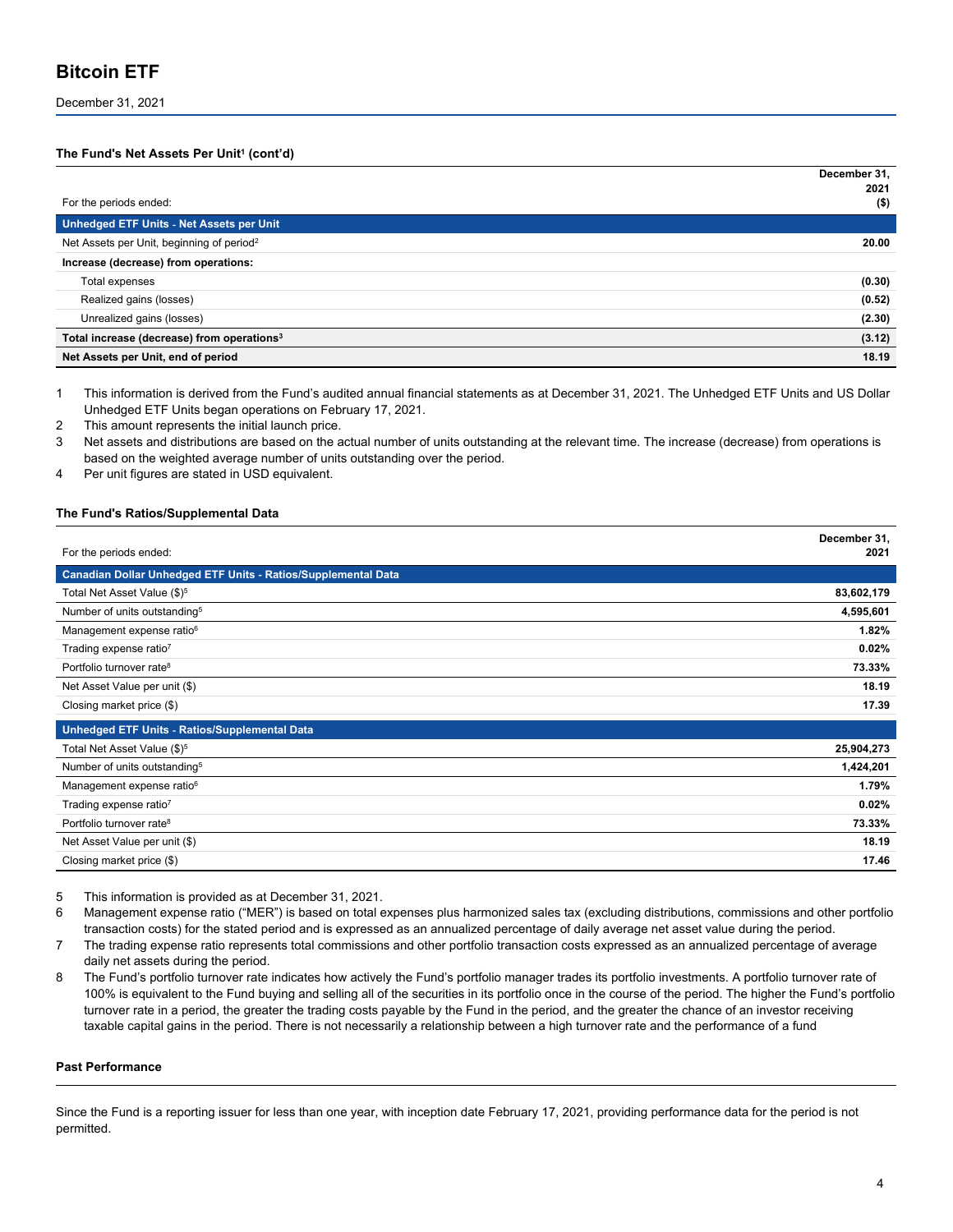#### December 31, 2021

#### **The Fund's Net Assets Per Unit<sup>1</sup> (cont'd)**

|                                                        | December 31,<br>2021 |
|--------------------------------------------------------|----------------------|
| For the periods ended:                                 | $($ \$)              |
| Unhedged ETF Units - Net Assets per Unit               |                      |
| Net Assets per Unit, beginning of period <sup>2</sup>  | 20.00                |
| Increase (decrease) from operations:                   |                      |
| Total expenses                                         | (0.30)               |
| Realized gains (losses)                                | (0.52)               |
| Unrealized gains (losses)                              | (2.30)               |
| Total increase (decrease) from operations <sup>3</sup> | (3.12)               |
| Net Assets per Unit, end of period                     | 18.19                |

1 This information is derived from the Fund's audited annual financial statements as at December 31, 2021. The Unhedged ETF Units and US Dollar Unhedged ETF Units began operations on February 17, 2021.

2 This amount represents the initial launch price.

3 Net assets and distributions are based on the actual number of units outstanding at the relevant time. The increase (decrease) from operations is based on the weighted average number of units outstanding over the period.

4 Per unit figures are stated in USD equivalent.

#### **The Fund's Ratios/Supplemental Data**

|                                                               | December 31, |
|---------------------------------------------------------------|--------------|
| For the periods ended:                                        | 2021         |
| Canadian Dollar Unhedged ETF Units - Ratios/Supplemental Data |              |
| Total Net Asset Value (\$) <sup>5</sup>                       | 83,602,179   |
| Number of units outstanding <sup>5</sup>                      | 4,595,601    |
| Management expense ratio <sup>6</sup>                         | 1.82%        |
| Trading expense ratio7                                        | 0.02%        |
| Portfolio turnover rate <sup>8</sup>                          | 73.33%       |
| Net Asset Value per unit (\$)                                 | 18.19        |
| Closing market price (\$)                                     | 17.39        |
| Unhedged ETF Units - Ratios/Supplemental Data                 |              |
| Total Net Asset Value (\$) <sup>5</sup>                       | 25,904,273   |
| Number of units outstanding <sup>5</sup>                      | 1,424,201    |
| Management expense ratio <sup>6</sup>                         | 1.79%        |
| Trading expense ratio <sup>7</sup>                            | 0.02%        |
| Portfolio turnover rate <sup>8</sup>                          | 73.33%       |
| Net Asset Value per unit (\$)                                 | 18.19        |
| Closing market price (\$)                                     | 17.46        |

5 This information is provided as at December 31, 2021.

- 6 Management expense ratio ("MER") is based on total expenses plus harmonized sales tax (excluding distributions, commissions and other portfolio transaction costs) for the stated period and is expressed as an annualized percentage of daily average net asset value during the period.
- 7 The trading expense ratio represents total commissions and other portfolio transaction costs expressed as an annualized percentage of average daily net assets during the period.
- 8 The Fund's portfolio turnover rate indicates how actively the Fund's portfolio manager trades its portfolio investments. A portfolio turnover rate of 100% is equivalent to the Fund buying and selling all of the securities in its portfolio once in the course of the period. The higher the Fund's portfolio turnover rate in a period, the greater the trading costs payable by the Fund in the period, and the greater the chance of an investor receiving taxable capital gains in the period. There is not necessarily a relationship between a high turnover rate and the performance of a fund

#### **Past Performance**

Since the Fund is a reporting issuer for less than one year, with inception date February 17, 2021, providing performance data for the period is not permitted.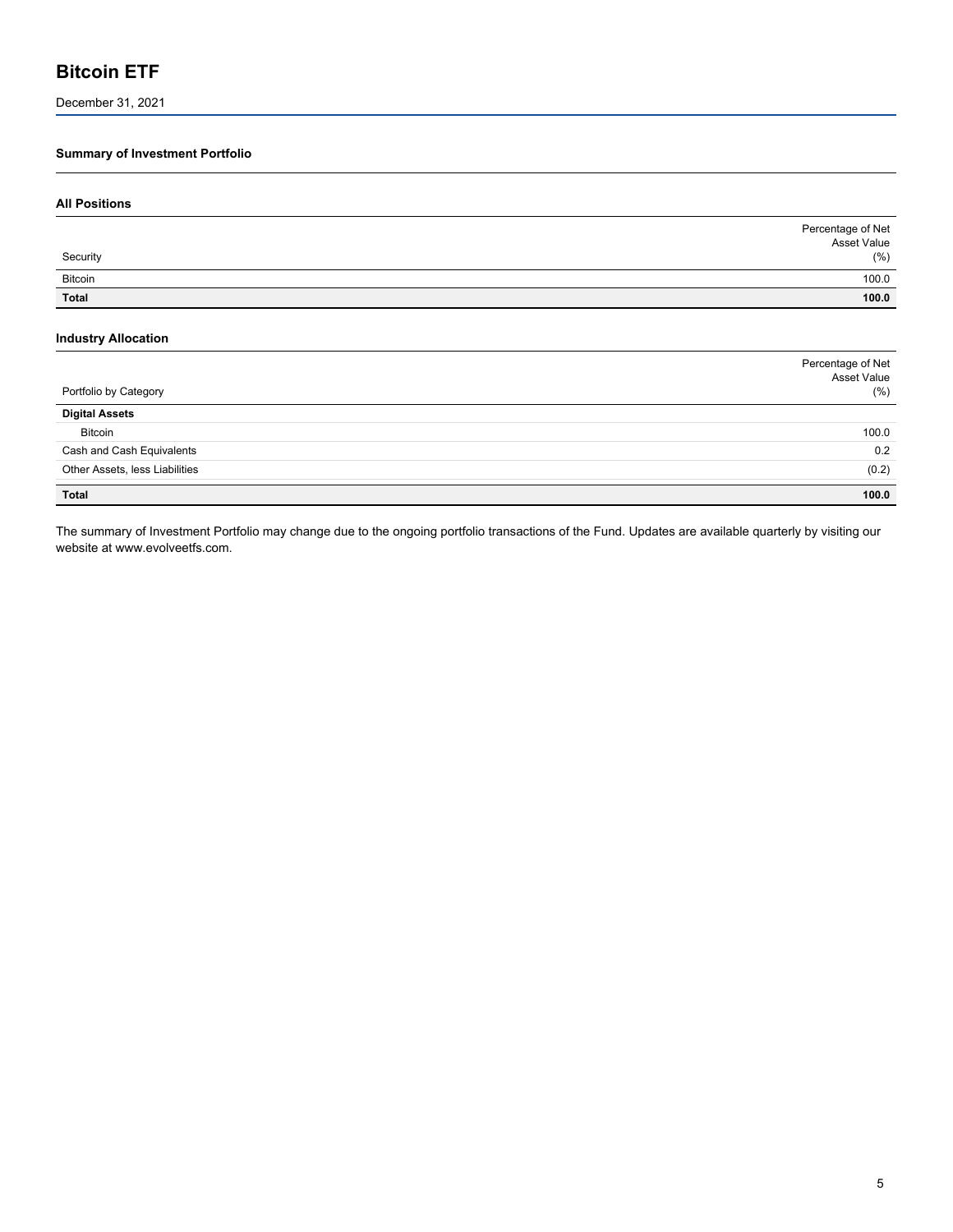December 31, 2021

### **Summary of Investment Portfolio**

| <b>All Positions</b>                                |                                             |
|-----------------------------------------------------|---------------------------------------------|
|                                                     | Percentage of Net                           |
| Security                                            | Asset Value<br>$(\% )$                      |
| Bitcoin                                             | 100.0                                       |
| Total                                               | 100.0                                       |
| <b>Industry Allocation</b><br>Portfolio by Category | Percentage of Net<br>Asset Value<br>$(\% )$ |
| <b>Digital Assets</b>                               |                                             |
| Bitcoin                                             | 100.0                                       |
| Cash and Cash Equivalents                           | 0.2                                         |
| Other Assets, less Liabilities                      | (0.2)                                       |

**Total 100.0**

The summary of Investment Portfolio may change due to the ongoing portfolio transactions of the Fund. Updates are available quarterly by visiting our website at www.evolveetfs.com.